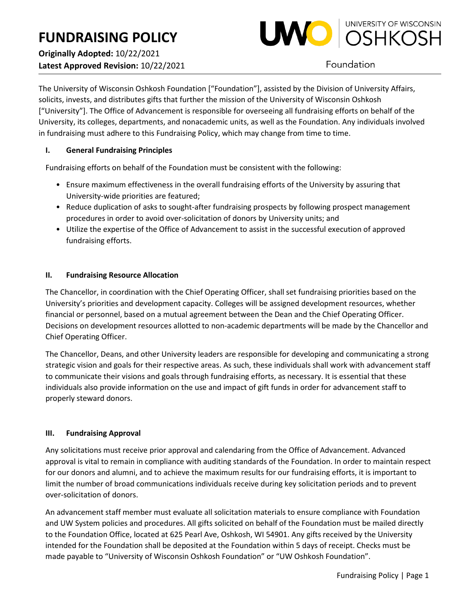

Foundation

The University of Wisconsin Oshkosh Foundation ["Foundation"], assisted by the Division of University Affairs, solicits, invests, and distributes gifts that further the mission of the University of Wisconsin Oshkosh ["University"]. The Office of Advancement is responsible for overseeing all fundraising efforts on behalf of the University, its colleges, departments, and nonacademic units, as well as the Foundation. Any individuals involved in fundraising must adhere to this Fundraising Policy, which may change from time to time.

# **I. General Fundraising Principles**

Fundraising efforts on behalf of the Foundation must be consistent with the following:

- Ensure maximum effectiveness in the overall fundraising efforts of the University by assuring that University-wide priorities are featured;
- Reduce duplication of asks to sought-after fundraising prospects by following prospect management procedures in order to avoid over-solicitation of donors by University units; and
- Utilize the expertise of the Office of Advancement to assist in the successful execution of approved fundraising efforts.

## **II. Fundraising Resource Allocation**

The Chancellor, in coordination with the Chief Operating Officer, shall set fundraising priorities based on the University's priorities and development capacity. Colleges will be assigned development resources, whether financial or personnel, based on a mutual agreement between the Dean and the Chief Operating Officer. Decisions on development resources allotted to non-academic departments will be made by the Chancellor and Chief Operating Officer.

The Chancellor, Deans, and other University leaders are responsible for developing and communicating a strong strategic vision and goals for their respective areas. As such, these individuals shall work with advancement staff to communicate their visions and goals through fundraising efforts, as necessary. It is essential that these individuals also provide information on the use and impact of gift funds in order for advancement staff to properly steward donors.

## **III. Fundraising Approval**

Any solicitations must receive prior approval and calendaring from the Office of Advancement. Advanced approval is vital to remain in compliance with auditing standards of the Foundation. In order to maintain respect for our donors and alumni, and to achieve the maximum results for our fundraising efforts, it is important to limit the number of broad communications individuals receive during key solicitation periods and to prevent over-solicitation of donors.

An advancement staff member must evaluate all solicitation materials to ensure compliance with Foundation and UW System policies and procedures. All gifts solicited on behalf of the Foundation must be mailed directly to the Foundation Office, located at 625 Pearl Ave, Oshkosh, WI 54901. Any gifts received by the University intended for the Foundation shall be deposited at the Foundation within 5 days of receipt. Checks must be made payable to "University of Wisconsin Oshkosh Foundation" or "UW Oshkosh Foundation".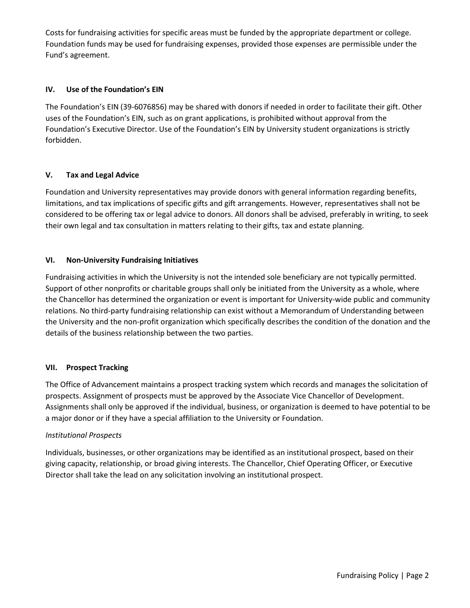Costs for fundraising activities for specific areas must be funded by the appropriate department or college. Foundation funds may be used for fundraising expenses, provided those expenses are permissible under the Fund's agreement.

### **IV. Use of the Foundation's EIN**

The Foundation's EIN (39-6076856) may be shared with donors if needed in order to facilitate their gift. Other uses of the Foundation's EIN, such as on grant applications, is prohibited without approval from the Foundation's Executive Director. Use of the Foundation's EIN by University student organizations is strictly forbidden.

### **V. Tax and Legal Advice**

Foundation and University representatives may provide donors with general information regarding benefits, limitations, and tax implications of specific gifts and gift arrangements. However, representatives shall not be considered to be offering tax or legal advice to donors. All donors shall be advised, preferably in writing, to seek their own legal and tax consultation in matters relating to their gifts, tax and estate planning.

### **VI. Non-University Fundraising Initiatives**

Fundraising activities in which the University is not the intended sole beneficiary are not typically permitted. Support of other nonprofits or charitable groups shall only be initiated from the University as a whole, where the Chancellor has determined the organization or event is important for University-wide public and community relations. No third-party fundraising relationship can exist without a Memorandum of Understanding between the University and the non-profit organization which specifically describes the condition of the donation and the details of the business relationship between the two parties.

## **VII. Prospect Tracking**

The Office of Advancement maintains a prospect tracking system which records and manages the solicitation of prospects. Assignment of prospects must be approved by the Associate Vice Chancellor of Development. Assignments shall only be approved if the individual, business, or organization is deemed to have potential to be a major donor or if they have a special affiliation to the University or Foundation.

#### *Institutional Prospects*

Individuals, businesses, or other organizations may be identified as an institutional prospect, based on their giving capacity, relationship, or broad giving interests. The Chancellor, Chief Operating Officer, or Executive Director shall take the lead on any solicitation involving an institutional prospect.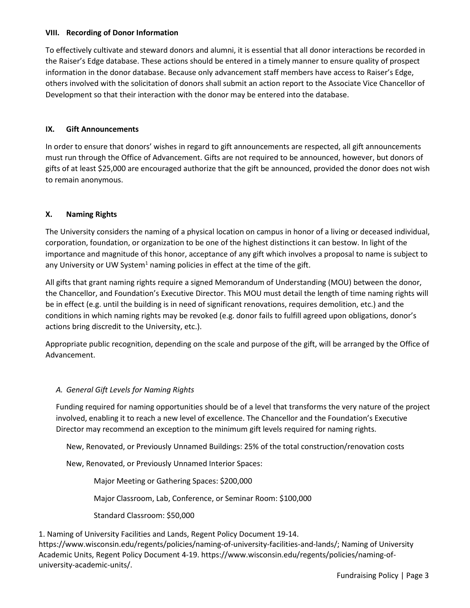#### **VIII. Recording of Donor Information**

To effectively cultivate and steward donors and alumni, it is essential that all donor interactions be recorded in the Raiser's Edge database. These actions should be entered in a timely manner to ensure quality of prospect information in the donor database. Because only advancement staff members have access to Raiser's Edge, others involved with the solicitation of donors shall submit an action report to the Associate Vice Chancellor of Development so that their interaction with the donor may be entered into the database.

#### **IX. Gift Announcements**

In order to ensure that donors' wishes in regard to gift announcements are respected, all gift announcements must run through the Office of Advancement. Gifts are not required to be announced, however, but donors of gifts of at least \$25,000 are encouraged authorize that the gift be announced, provided the donor does not wish to remain anonymous.

#### **X. Naming Rights**

The University considers the naming of a physical location on campus in honor of a living or deceased individual, corporation, foundation, or organization to be one of the highest distinctions it can bestow. In light of the importance and magnitude of this honor, acceptance of any gift which involves a proposal to name is subject to any University or UW System<sup>1</sup> naming policies in effect at the time of the gift.

All gifts that grant naming rights require a signed Memorandum of Understanding (MOU) between the donor, the Chancellor, and Foundation's Executive Director. This MOU must detail the length of time naming rights will be in effect (e.g. until the building is in need of significant renovations, requires demolition, etc.) and the conditions in which naming rights may be revoked (e.g. donor fails to fulfill agreed upon obligations, donor's actions bring discredit to the University, etc.).

Appropriate public recognition, depending on the scale and purpose of the gift, will be arranged by the Office of Advancement.

#### *A. General Gift Levels for Naming Rights*

Funding required for naming opportunities should be of a level that transforms the very nature of the project involved, enabling it to reach a new level of excellence. The Chancellor and the Foundation's Executive Director may recommend an exception to the minimum gift levels required for naming rights.

New, Renovated, or Previously Unnamed Buildings: 25% of the total construction/renovation costs

New, Renovated, or Previously Unnamed Interior Spaces:

Major Meeting or Gathering Spaces: \$200,000

Major Classroom, Lab, Conference, or Seminar Room: \$100,000

Standard Classroom: \$50,000

1. Naming of University Facilities and Lands, Regent Policy Document 19-14. https://www.wisconsin.edu/regents/policies/naming-of-university-facilities-and-lands/; Naming of University Academic Units, Regent Policy Document 4-19. https://www.wisconsin.edu/regents/policies/naming-ofuniversity-academic-units/.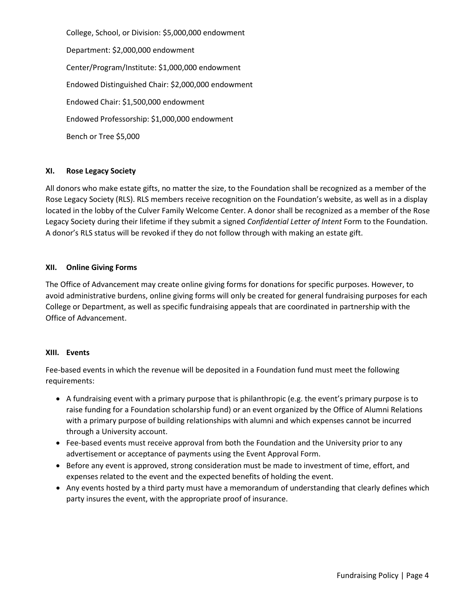College, School, or Division: \$5,000,000 endowment Department: \$2,000,000 endowment Center/Program/Institute: \$1,000,000 endowment Endowed Distinguished Chair: \$2,000,000 endowment Endowed Chair: \$1,500,000 endowment Endowed Professorship: \$1,000,000 endowment Bench or Tree \$5,000

#### **XI. Rose Legacy Society**

All donors who make estate gifts, no matter the size, to the Foundation shall be recognized as a member of the Rose Legacy Society (RLS). RLS members receive recognition on the Foundation's website, as well as in a display located in the lobby of the Culver Family Welcome Center. A donor shall be recognized as a member of the Rose Legacy Society during their lifetime if they submit a signed *Confidential Letter of Intent* Form to the Foundation. A donor's RLS status will be revoked if they do not follow through with making an estate gift.

#### **XII. Online Giving Forms**

The Office of Advancement may create online giving forms for donations for specific purposes. However, to avoid administrative burdens, online giving forms will only be created for general fundraising purposes for each College or Department, as well as specific fundraising appeals that are coordinated in partnership with the Office of Advancement.

#### **XIII. Events**

Fee-based events in which the revenue will be deposited in a Foundation fund must meet the following requirements:

- A fundraising event with a primary purpose that is philanthropic (e.g. the event's primary purpose is to raise funding for a Foundation scholarship fund) or an event organized by the Office of Alumni Relations with a primary purpose of building relationships with alumni and which expenses cannot be incurred through a University account.
- Fee-based events must receive approval from both the Foundation and the University prior to any advertisement or acceptance of payments using the Event Approval Form.
- Before any event is approved, strong consideration must be made to investment of time, effort, and expenses related to the event and the expected benefits of holding the event.
- Any events hosted by a third party must have a memorandum of understanding that clearly defines which party insures the event, with the appropriate proof of insurance.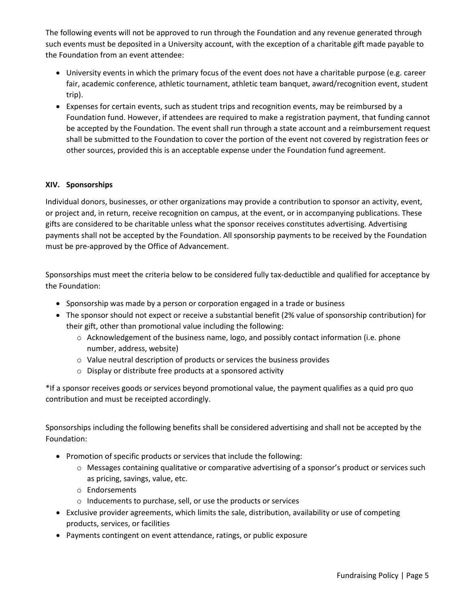The following events will not be approved to run through the Foundation and any revenue generated through such events must be deposited in a University account, with the exception of a charitable gift made payable to the Foundation from an event attendee:

- University events in which the primary focus of the event does not have a charitable purpose (e.g. career fair, academic conference, athletic tournament, athletic team banquet, award/recognition event, student trip).
- Expenses for certain events, such as student trips and recognition events, may be reimbursed by a Foundation fund. However, if attendees are required to make a registration payment, that funding cannot be accepted by the Foundation. The event shall run through a state account and a reimbursement request shall be submitted to the Foundation to cover the portion of the event not covered by registration fees or other sources, provided this is an acceptable expense under the Foundation fund agreement.

### **XIV. Sponsorships**

Individual donors, businesses, or other organizations may provide a contribution to sponsor an activity, event, or project and, in return, receive recognition on campus, at the event, or in accompanying publications. These gifts are considered to be charitable unless what the sponsor receives constitutes advertising. Advertising payments shall not be accepted by the Foundation. All sponsorship payments to be received by the Foundation must be pre-approved by the Office of Advancement.

Sponsorships must meet the criteria below to be considered fully tax-deductible and qualified for acceptance by the Foundation:

- Sponsorship was made by a person or corporation engaged in a trade or business
- The sponsor should not expect or receive a substantial benefit (2% value of sponsorship contribution) for their gift, other than promotional value including the following:
	- $\circ$  Acknowledgement of the business name, logo, and possibly contact information (i.e. phone number, address, website)
	- o Value neutral description of products or services the business provides
	- o Display or distribute free products at a sponsored activity

\*If a sponsor receives goods or services beyond promotional value, the payment qualifies as a quid pro quo contribution and must be receipted accordingly.

Sponsorships including the following benefits shall be considered advertising and shall not be accepted by the Foundation:

- Promotion of specific products or services that include the following:
	- o Messages containing qualitative or comparative advertising of a sponsor's product or services such as pricing, savings, value, etc.
	- o Endorsements
	- o Inducements to purchase, sell, or use the products or services
- Exclusive provider agreements, which limits the sale, distribution, availability or use of competing products, services, or facilities
- Payments contingent on event attendance, ratings, or public exposure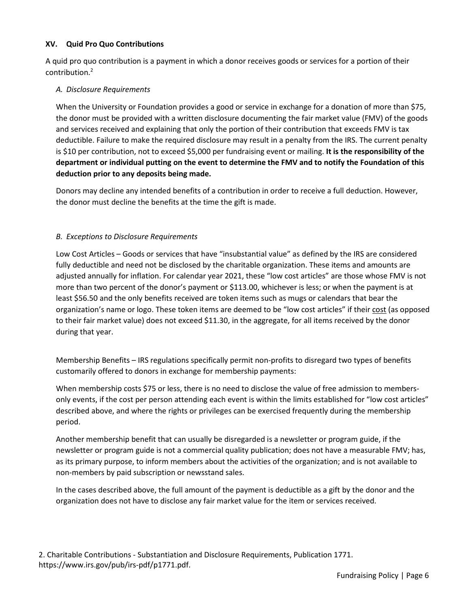#### **XV. Quid Pro Quo Contributions**

A quid pro quo contribution is a payment in which a donor receives goods or services for a portion of their contribution.2

### *A. Disclosure Requirements*

When the University or Foundation provides a good or service in exchange for a donation of more than \$75, the donor must be provided with a written disclosure documenting the fair market value (FMV) of the goods and services received and explaining that only the portion of their contribution that exceeds FMV is tax deductible. Failure to make the required disclosure may result in a penalty from the IRS. The current penalty is \$10 per contribution, not to exceed \$5,000 per fundraising event or mailing. **It is the responsibility of the department or individual putting on the event to determine the FMV and to notify the Foundation of this deduction prior to any deposits being made.**

Donors may decline any intended benefits of a contribution in order to receive a full deduction. However, the donor must decline the benefits at the time the gift is made.

### *B. Exceptions to Disclosure Requirements*

Low Cost Articles – Goods or services that have "insubstantial value" as defined by the IRS are considered fully deductible and need not be disclosed by the charitable organization. These items and amounts are adjusted annually for inflation. For calendar year 2021, these "low cost articles" are those whose FMV is not more than two percent of the donor's payment or \$113.00, whichever is less; or when the payment is at least \$56.50 and the only benefits received are token items such as mugs or calendars that bear the organization's name or logo. These token items are deemed to be "low cost articles" if their cost (as opposed to their fair market value) does not exceed \$11.30, in the aggregate, for all items received by the donor during that year.

Membership Benefits – IRS regulations specifically permit non-profits to disregard two types of benefits customarily offered to donors in exchange for membership payments:

When membership costs \$75 or less, there is no need to disclose the value of free admission to membersonly events, if the cost per person attending each event is within the limits established for "low cost articles" described above, and where the rights or privileges can be exercised frequently during the membership period.

Another membership benefit that can usually be disregarded is a newsletter or program guide, if the newsletter or program guide is not a commercial quality publication; does not have a measurable FMV; has, as its primary purpose, to inform members about the activities of the organization; and is not available to non-members by paid subscription or newsstand sales.

In the cases described above, the full amount of the payment is deductible as a gift by the donor and the organization does not have to disclose any fair market value for the item or services received.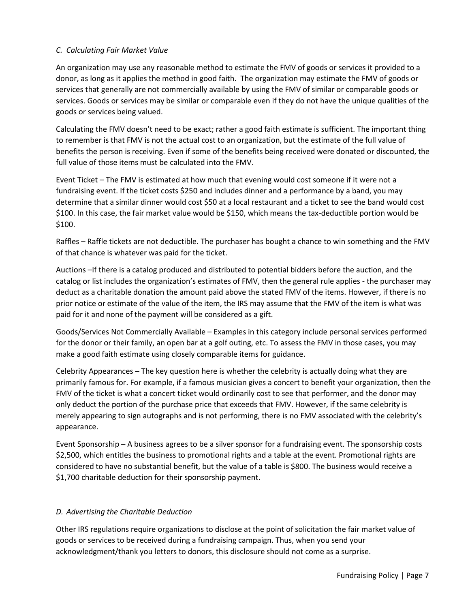### *C. Calculating Fair Market Value*

An organization may use any reasonable method to estimate the FMV of goods or services it provided to a donor, as long as it applies the method in good faith. The organization may estimate the FMV of goods or services that generally are not commercially available by using the FMV of similar or comparable goods or services. Goods or services may be similar or comparable even if they do not have the unique qualities of the goods or services being valued.

Calculating the FMV doesn't need to be exact; rather a good faith estimate is sufficient. The important thing to remember is that FMV is not the actual cost to an organization, but the estimate of the full value of benefits the person is receiving. Even if some of the benefits being received were donated or discounted, the full value of those items must be calculated into the FMV.

Event Ticket – The FMV is estimated at how much that evening would cost someone if it were not a fundraising event. If the ticket costs \$250 and includes dinner and a performance by a band, you may determine that a similar dinner would cost \$50 at a local restaurant and a ticket to see the band would cost \$100. In this case, the fair market value would be \$150, which means the tax-deductible portion would be \$100.

Raffles – Raffle tickets are not deductible. The purchaser has bought a chance to win something and the FMV of that chance is whatever was paid for the ticket.

Auctions –If there is a catalog produced and distributed to potential bidders before the auction, and the catalog or list includes the organization's estimates of FMV, then the general rule applies - the purchaser may deduct as a charitable donation the amount paid above the stated FMV of the items. However, if there is no prior notice or estimate of the value of the item, the IRS may assume that the FMV of the item is what was paid for it and none of the payment will be considered as a gift.

Goods/Services Not Commercially Available – Examples in this category include personal services performed for the donor or their family, an open bar at a golf outing, etc. To assess the FMV in those cases, you may make a good faith estimate using closely comparable items for guidance.

Celebrity Appearances – The key question here is whether the celebrity is actually doing what they are primarily famous for. For example, if a famous musician gives a concert to benefit your organization, then the FMV of the ticket is what a concert ticket would ordinarily cost to see that performer, and the donor may only deduct the portion of the purchase price that exceeds that FMV. However, if the same celebrity is merely appearing to sign autographs and is not performing, there is no FMV associated with the celebrity's appearance.

Event Sponsorship – A business agrees to be a silver sponsor for a fundraising event. The sponsorship costs \$2,500, which entitles the business to promotional rights and a table at the event. Promotional rights are considered to have no substantial benefit, but the value of a table is \$800. The business would receive a \$1,700 charitable deduction for their sponsorship payment.

## *D. Advertising the Charitable Deduction*

Other IRS regulations require organizations to disclose at the point of solicitation the fair market value of goods or services to be received during a fundraising campaign. Thus, when you send your acknowledgment/thank you letters to donors, this disclosure should not come as a surprise.